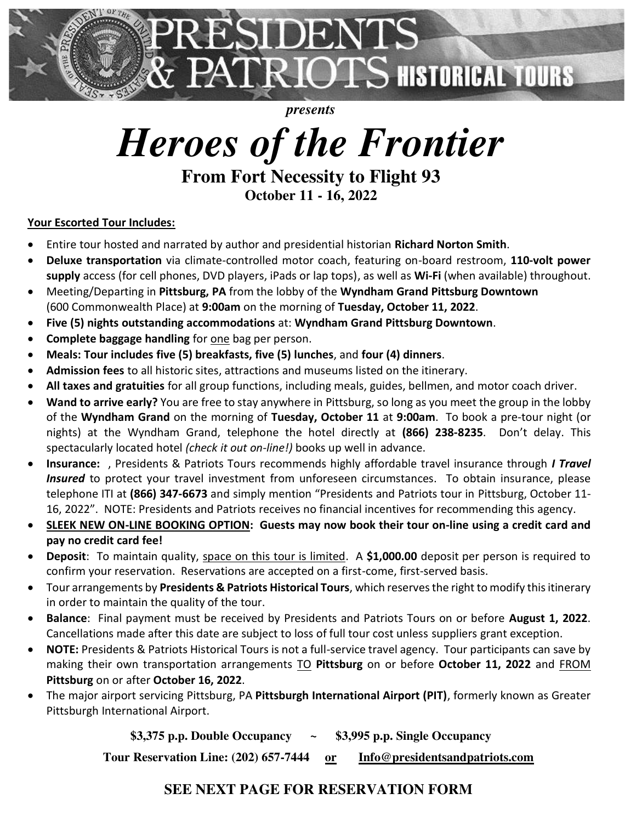

*presents* 

# *Heroes of the Frontier*

**From Fort Necessity to Flight 93 October 11 - 16, 2022** 

### **Your Escorted Tour Includes:**

- Entire tour hosted and narrated by author and presidential historian **Richard Norton Smith**.
- **Deluxe transportation** via climate-controlled motor coach, featuring on-board restroom, **110-volt power supply** access (for cell phones, DVD players, iPads or lap tops), as well as **Wi-Fi** (when available) throughout.
- Meeting/Departing in **Pittsburg, PA** from the lobby of the **Wyndham Grand Pittsburg Downtown** (600 Commonwealth Place) at **9:00am** on the morning of **Tuesday, October 11, 2022**.
- **Five (5) nights outstanding accommodations** at: **Wyndham Grand Pittsburg Downtown**.
- **Complete baggage handling** for one bag per person.
- **Meals: Tour includes five (5) breakfasts, five (5) lunches**, and **four (4) dinners**.
- **Admission fees** to all historic sites, attractions and museums listed on the itinerary.
- **All taxes and gratuities** for all group functions, including meals, guides, bellmen, and motor coach driver.
- **Wand to arrive early?** You are free to stay anywhere in Pittsburg, so long as you meet the group in the lobby of the **Wyndham Grand** on the morning of **Tuesday, October 11** at **9:00am**. To book a pre-tour night (or nights) at the Wyndham Grand, telephone the hotel directly at **(866) 238-8235**. Don't delay. This spectacularly located hotel *(check it out on-line!)* books up well in advance.
- **Insurance:** , Presidents & Patriots Tours recommends highly affordable travel insurance through *I Travel Insured* to protect your travel investment from unforeseen circumstances. To obtain insurance, please telephone ITI at **(866) 347-6673** and simply mention "Presidents and Patriots tour in Pittsburg, October 11- 16, 2022". NOTE: Presidents and Patriots receives no financial incentives for recommending this agency.
- **SLEEK NEW ON-LINE BOOKING OPTION: Guests may now book their tour on-line using a credit card and pay no credit card fee!**
- **Deposit**: To maintain quality, space on this tour is limited. A **\$1,000.00** deposit per person is required to confirm your reservation. Reservations are accepted on a first-come, first-served basis.
- Tour arrangements by **Presidents & Patriots Historical Tours**, which reserves the right to modify this itinerary in order to maintain the quality of the tour.
- **Balance**: Final payment must be received by Presidents and Patriots Tours on or before **August 1, 2022**. Cancellations made after this date are subject to loss of full tour cost unless suppliers grant exception.
- **NOTE:** Presidents & Patriots Historical Tours is not a full-service travel agency. Tour participants can save by making their own transportation arrangements TO **Pittsburg** on or before **October 11, 2022** and FROM **Pittsburg** on or after **October 16, 2022**.
- The major airport servicing Pittsburg, PA **Pittsburgh International Airport (PIT)**, formerly known as Greater Pittsburgh International Airport.

**\$3,375 p.p. Double Occupancy ~ \$3,995 p.p. Single Occupancy** 

**Tour Reservation Line: (202) 657-7444 or [Info@presidentsandpatriots.com](mailto:Info@presidentsandpatriots.com)** 

## **SEE NEXT PAGE FOR RESERVATION FORM**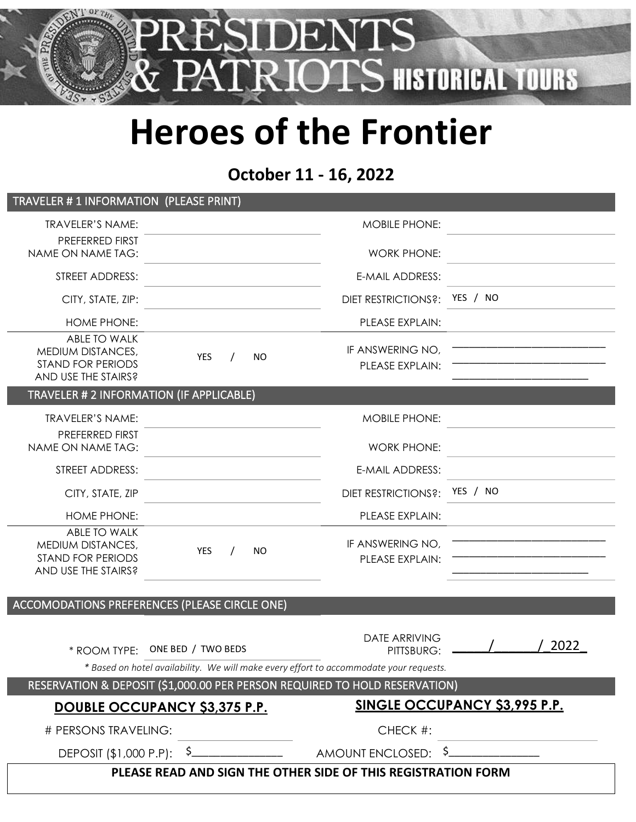

# **Heroes of the Frontier**

# **October 11 - 16, 2022**

| TRAVELER # 1 INFORMATION (PLEASE PRINT)                                              |                                                                                                              |                                      |          |      |
|--------------------------------------------------------------------------------------|--------------------------------------------------------------------------------------------------------------|--------------------------------------|----------|------|
| <b>TRAVELER'S NAME:</b>                                                              |                                                                                                              | <b>MOBILE PHONE:</b>                 |          |      |
| PREFERRED FIRST<br>NAME ON NAME TAG:                                                 |                                                                                                              | <b>WORK PHONE:</b>                   |          |      |
| STREET ADDRESS:                                                                      |                                                                                                              | E-MAIL ADDRESS:                      |          |      |
| CITY, STATE, ZIP:                                                                    |                                                                                                              | <b>DIET RESTRICTIONS?:</b>           | YES / NO |      |
| <b>HOME PHONE:</b>                                                                   |                                                                                                              | PLEASE EXPLAIN:                      |          |      |
| ABLE TO WALK<br>MEDIUM DISTANCES,<br><b>STAND FOR PERIODS</b><br>AND USE THE STAIRS? | YES<br><b>NO</b>                                                                                             | IF ANSWERING NO,<br>PLEASE EXPLAIN:  |          |      |
| TRAVELER # 2 INFORMATION (IF APPLICABLE)                                             |                                                                                                              |                                      |          |      |
| <b>TRAVELER'S NAME:</b>                                                              |                                                                                                              | <b>MOBILE PHONE:</b>                 |          |      |
| PREFERRED FIRST<br>NAME ON NAME TAG:                                                 |                                                                                                              | <b>WORK PHONE:</b>                   |          |      |
| STREET ADDRESS:                                                                      |                                                                                                              | <b>E-MAIL ADDRESS:</b>               |          |      |
| CITY, STATE, ZIP                                                                     |                                                                                                              | <b>DIET RESTRICTIONS?:</b>           | YES / NO |      |
| <b>HOME PHONE:</b>                                                                   |                                                                                                              | PLEASE EXPLAIN:                      |          |      |
| ABLE TO WALK<br>MEDIUM DISTANCES,<br><b>STAND FOR PERIODS</b><br>AND USE THE STAIRS? | <b>YES</b><br><b>NO</b>                                                                                      | IF ANSWERING NO.<br>PLEASE EXPLAIN:  |          |      |
|                                                                                      | ACCOMODATIONS PREFERENCES (PLEASE CIRCLE ONE)                                                                |                                      |          |      |
| * ROOM TYPE:                                                                         | ONE BED / TWO BEDS<br>* Based on hotel availability. We will make every effort to accommodate your requests. | <b>DATE ARRIVING</b><br>PITTSBURG:   |          | 2022 |
| RESERVATION & DEPOSIT (\$1,000.00 PER PERSON REQUIRED TO HOLD RESERVATION)           |                                                                                                              |                                      |          |      |
| DOUBLE OCCUPANCY \$3,375 P.P.                                                        |                                                                                                              | <b>SINGLE OCCUPANCY \$3,995 P.P.</b> |          |      |
| # PERSONS TRAVELING:                                                                 |                                                                                                              | CHECK #:                             |          |      |
|                                                                                      |                                                                                                              |                                      |          |      |
| PLEASE READ AND SIGN THE OTHER SIDE OF THIS REGISTRATION FORM                        |                                                                                                              |                                      |          |      |